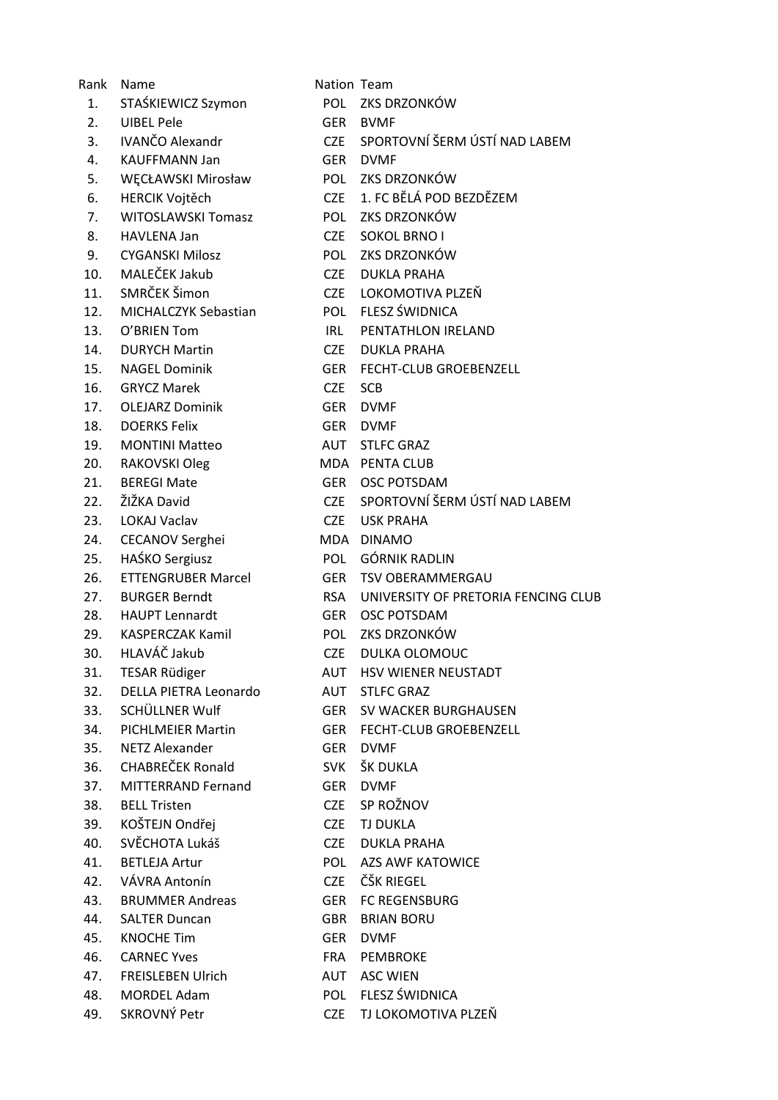| Rank | Name                      | Nation Team |                                     |
|------|---------------------------|-------------|-------------------------------------|
| 1.   | STAŚKIEWICZ Szymon        | POL         | ZKS DRZONKÓW                        |
| 2.   | <b>UIBEL Pele</b>         | GER         | <b>BVMF</b>                         |
| 3.   | <b>IVANČO Alexandr</b>    | CZE         | SPORTOVNÍ ŠERM ÚSTÍ NAD LABEM       |
| 4.   | <b>KAUFFMANN Jan</b>      | GER         | <b>DVMF</b>                         |
| 5.   | WĘCŁAWSKI Mirosław        | POL         | ZKS DRZONKÓW                        |
| 6.   | <b>HERCIK Vojtěch</b>     | <b>CZE</b>  | 1. FC BĚLÁ POD BEZDĚZEM             |
| 7.   | <b>WITOSLAWSKI Tomasz</b> | POL         | ZKS DRZONKÓW                        |
| 8.   | HAVLENA Jan               | CZE         | <b>SOKOL BRNO I</b>                 |
| 9.   | <b>CYGANSKI Milosz</b>    |             | POL ZKS DRZONKÓW                    |
| 10.  | MALEČEK Jakub             | <b>CZE</b>  | <b>DUKLA PRAHA</b>                  |
| 11.  | SMRČEK Šimon              | CZE         | LOKOMOTIVA PLZEŇ                    |
| 12.  | MICHALCZYK Sebastian      |             | POL FLESZ ŚWIDNICA                  |
| 13.  | O'BRIEN Tom               | IRL         | PENTATHLON IRELAND                  |
| 14.  | <b>DURYCH Martin</b>      | CZE         | <b>DUKLA PRAHA</b>                  |
| 15.  | <b>NAGEL Dominik</b>      | GER         | <b>FECHT-CLUB GROEBENZELL</b>       |
| 16.  | <b>GRYCZ Marek</b>        | <b>CZE</b>  | <b>SCB</b>                          |
| 17.  | <b>OLEJARZ Dominik</b>    | <b>GER</b>  | <b>DVMF</b>                         |
| 18.  | <b>DOERKS Felix</b>       | GER         | <b>DVMF</b>                         |
| 19.  | <b>MONTINI Matteo</b>     |             | AUT STLFC GRAZ                      |
| 20.  | RAKOVSKI Oleg             |             | MDA PENTA CLUB                      |
| 21.  | <b>BEREGI Mate</b>        | GER         | <b>OSC POTSDAM</b>                  |
| 22.  | ŽIŽKA David               | CZE         | SPORTOVNÍ ŠERM ÚSTÍ NAD LABEM       |
| 23.  | <b>LOKAJ Vaclav</b>       | <b>CZE</b>  | <b>USK PRAHA</b>                    |
| 24.  | <b>CECANOV Serghei</b>    |             | MDA DINAMO                          |
| 25.  | HAŚKO Sergiusz            | <b>POL</b>  | <b>GÓRNIK RADLIN</b>                |
| 26.  | <b>ETTENGRUBER Marcel</b> | GER         | <b>TSV OBERAMMERGAU</b>             |
| 27.  | <b>BURGER Berndt</b>      | <b>RSA</b>  | UNIVERSITY OF PRETORIA FENCING CLUB |
| 28.  | <b>HAUPT Lennardt</b>     | GER         | <b>OSC POTSDAM</b>                  |
| 29.  | <b>KASPERCZAK Kamil</b>   | POL         | ZKS DRZONKÓW                        |
| 30.  | HLAVÁČ Jakub              |             | CZE DULKA OLOMOUC                   |
| 31.  | TESAR Rüdiger             |             | AUT HSV WIENER NEUSTADT             |
| 32.  | DELLA PIETRA Leonardo     |             | AUT STLFC GRAZ                      |
| 33.  | SCHÜLLNER Wulf            |             | GER SV WACKER BURGHAUSEN            |
| 34.  | <b>PICHLMEIER Martin</b>  | GER         | FECHT-CLUB GROEBENZELL              |
| 35.  | <b>NETZ Alexander</b>     | <b>GER</b>  | <b>DVMF</b>                         |
| 36.  | CHABREČEK Ronald          | <b>SVK</b>  | ŠK DUKLA                            |
| 37.  | MITTERRAND Fernand        | <b>GER</b>  | <b>DVMF</b>                         |
| 38.  | <b>BELL Tristen</b>       | <b>CZE</b>  | SP ROŽNOV                           |
| 39.  | KOŠTEJN Ondřej            | <b>CZE</b>  | <b>TJ DUKLA</b>                     |
| 40.  | SVĚCHOTA Lukáš            | <b>CZE</b>  | <b>DUKLA PRAHA</b>                  |
| 41.  | <b>BETLEJA Artur</b>      | POL         | <b>AZS AWF KATOWICE</b>             |
| 42.  | VÁVRA Antonín             | <b>CZE</b>  | ČŠK RIEGEL                          |
| 43.  | <b>BRUMMER Andreas</b>    | GER         | FC REGENSBURG                       |
| 44.  | <b>SALTER Duncan</b>      | GBR         | <b>BRIAN BORU</b>                   |
| 45.  | <b>KNOCHE Tim</b>         | GER         | <b>DVMF</b>                         |
| 46.  | <b>CARNEC Yves</b>        | FRA         | PEMBROKE                            |
| 47.  | <b>FREISLEBEN Ulrich</b>  |             | <b>AUT ASC WIEN</b>                 |
| 48.  | <b>MORDEL Adam</b>        |             | POL FLESZ ŚWIDNICA                  |
| 49.  | SKROVNÝ Petr              | <b>CZE</b>  | TJ LOKOMOTIVA PLZEŇ                 |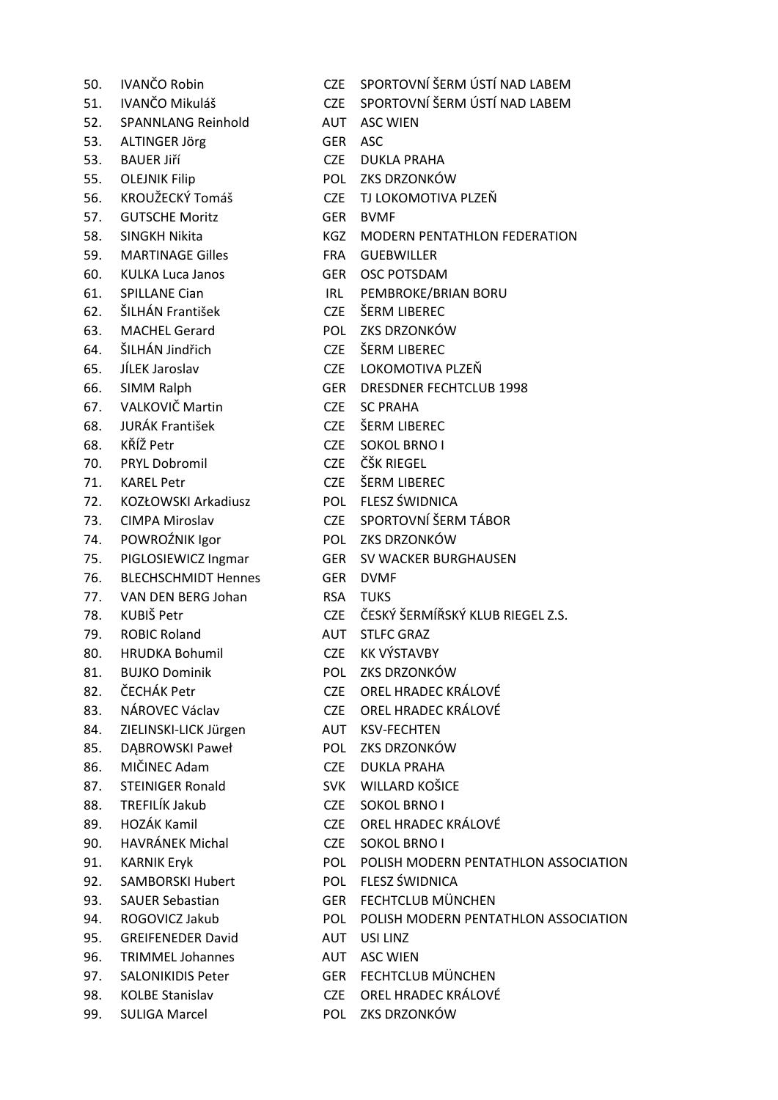|     | 50. IVANČO Robin           |            | CZE SPORTOVNÍ ŠERM ÚSTÍ I   |
|-----|----------------------------|------------|-----------------------------|
|     | 51. IVANČO Mikuláš         | <b>CZE</b> | SPORTOVNÍ ŠERM ÚSTÍ I       |
|     | 52. SPANNLANG Reinhold     | AUT        | <b>ASC WIEN</b>             |
|     | 53. ALTINGER Jörg          | <b>GER</b> | <b>ASC</b>                  |
|     | 53. BAUER Jiří             | <b>CZE</b> | <b>DUKLA PRAHA</b>          |
|     | 55. OLEJNIK Filip          |            | POL ZKS DRZONKÓW            |
| 56. | KROUŽECKÝ Tomáš            | CZE        | TJ LOKOMOTIVA PLZEŇ         |
| 57. | <b>GUTSCHE Moritz</b>      | GER        | <b>BVMF</b>                 |
| 58. | <b>SINGKH Nikita</b>       | <b>KGZ</b> | <b>MODERN PENTATHLON</b>    |
|     | 59. MARTINAGE Gilles       | <b>FRA</b> | <b>GUEBWILLER</b>           |
| 60. | <b>KULKA Luca Janos</b>    | GER        | <b>OSC POTSDAM</b>          |
| 61. | <b>SPILLANE Cian</b>       | IRL        | PEMBROKE/BRIAN BORU         |
|     | 62. ŠILHÁN František       | <b>CZE</b> | ŠERM LIBEREC                |
|     | 63. MACHEL Gerard          | <b>POL</b> | ZKS DRZONKÓW                |
|     | 64. ŠILHÁN Jindřich        | <b>CZE</b> | ŠERM LIBEREC                |
| 65. | JÍLEK Jaroslav             | <b>CZE</b> | LOKOMOTIVA PLZEŇ            |
| 66. | SIMM Ralph                 | <b>GER</b> | <b>DRESDNER FECHTCLUB 1</b> |
|     | 67. VALKOVIČ Martin        | <b>CZE</b> | <b>SC PRAHA</b>             |
| 68. | <b>JURÁK František</b>     | <b>CZE</b> | ŠERM LIBEREC                |
|     | 68. KŘÍŽ Petr              | <b>CZE</b> | <b>SOKOL BRNO I</b>         |
| 70. | <b>PRYL Dobromil</b>       |            | CZE ČŠK RIEGEL              |
| 71. | <b>KAREL Petr</b>          | <b>CZE</b> | ŠERM LIBEREC                |
| 72. | KOZŁOWSKI Arkadiusz        |            | POL FLESZ ŚWIDNICA          |
| 73. | <b>CIMPA Miroslav</b>      | <b>CZE</b> | SPORTOVNÍ ŠERM TÁBO         |
| 74. | POWROŹNIK Igor             |            | POL ZKS DRZONKÓW            |
| 75. | PIGLOSIEWICZ Ingmar        | GER        | <b>SV WACKER BURGHAUS</b>   |
| 76. | <b>BLECHSCHMIDT Hennes</b> | <b>GER</b> | <b>DVMF</b>                 |
| 77. | VAN DEN BERG Johan         | <b>RSA</b> | <b>TUKS</b>                 |
|     | 78. KUBIŠ Petr             | <b>CZE</b> | ČESKÝ ŠERMÍŘSKÝ KLUB        |
|     | 79. ROBIC Roland           |            | AUT STLFC GRAZ              |
|     | 80. HRUDKA Bohumil         |            | CZE KK VÝSTAVBY             |
| 81. | <b>BUJKO Dominik</b>       |            | POL ZKS DRZONKÓW            |
| 82. | ČECHÁK Petr                | <b>CZE</b> | OREL HRADEC KRÁLOVÉ         |
| 83. | NÁROVEC Václav             | <b>CZE</b> | OREL HRADEC KRÁLOVÉ         |
| 84. | ZIELINSKI-LICK Jürgen      | AUT        | <b>KSV-FECHTEN</b>          |
| 85. | DABROWSKI Paweł            | POL        | ZKS DRZONKÓW                |
| 86. | MIČINEC Adam               | <b>CZE</b> | <b>DUKLA PRAHA</b>          |
| 87. | <b>STEINIGER Ronald</b>    | <b>SVK</b> | WILLARD KOŠICE              |
| 88. | TREFILÍK Jakub             | <b>CZE</b> | <b>SOKOL BRNO I</b>         |
| 89. | HOZÁK Kamil                | <b>CZE</b> | OREL HRADEC KRÁLOVÉ         |
| 90. | HAVRÁNEK Michal            | <b>CZE</b> | <b>SOKOL BRNO I</b>         |
| 91. | <b>KARNIK Eryk</b>         | <b>POL</b> | POLISH MODERN PENTA         |
| 92. | <b>SAMBORSKI Hubert</b>    | <b>POL</b> | <b>FLESZ ŚWIDNICA</b>       |
| 93. | <b>SAUER Sebastian</b>     | GER        | FECHTCLUB MÜNCHEN           |
| 94. | ROGOVICZ Jakub             | <b>POL</b> | POLISH MODERN PENTA         |
| 95. | <b>GREIFENEDER David</b>   | AUT        | USI LINZ                    |
| 96. | <b>TRIMMEL Johannes</b>    | <b>AUT</b> | <b>ASC WIEN</b>             |
| 97. | <b>SALONIKIDIS Peter</b>   | <b>GER</b> | FECHTCLUB MÜNCHEN           |
| 98. | <b>KOLBE Stanislav</b>     | CZE        | OREL HRADEC KRÁLOVÉ         |
|     |                            |            |                             |

RTOVNÍ ŠERM ÚSTÍ NAD LABEM RTOVNÍ ŠERM ÚSTÍ NAD LABEM LA PRAHA DRZONKÓW )KOMOTIVA PLZEŇ **DERN PENTATHLON FEDERATION BWILLER** POTSDAM **BROKE/BRIAN BORU MLIBEREC** DRZONKÓW **M LIBEREC** OMOTIVA PLZEŇ **SDNER FECHTCLUB 1998 M LIBEREC** OL BRNO I **ALIBEREC** Z ŚWIDNICA RTOVNÍ ŠERM TÁBOR DRZONKÓW VACKER BURGHAUSEN (Ý ŠERMÍŘSKÝ KLUB RIEGEL Z.S. **ÝSTAVBY** DRZONKÓW L HRADEC KRÁLOVÉ L HRADEC KRÁLOVÉ **FECHTEN** DRZONKÓW LA PRAHA ARD KOŠICE OL BRNO I L HRADEC KRÁLOVÉ **OL BRNO I** ISH MODERN PENTATHLON ASSOCIATION 2. ŚWIDNICA **HTCLUB MÜNCHEN** ISH MODERN PENTATHLON ASSOCIATION **HTCLUB MÜNCHEN** 

- 
- 99. SULIGA Marcel POL ZKS DRZONKÓW